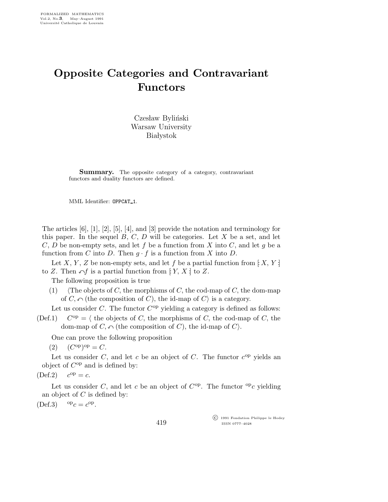## Opposite Categories and Contravariant Functors

Czesław Byliński Warsaw University **Białystok** 

**Summary.** The opposite category of a category, contravariant functors and duality functors are defined.

MML Identifier: OPPCAT 1.

The articles [6], [1], [2], [5], [4], and [3] provide the notation and terminology for this paper. In the sequel  $B, C, D$  will be categories. Let  $X$  be a set, and let  $C, D$  be non-empty sets, and let f be a function from X into C, and let g be a function from C into D. Then  $g \cdot f$  is a function from X into D.

Let X, Y, Z be non-empty sets, and let f be a partial function from  $[X, Y]$ to Z. Then  $\cap f$  is a partial function from [: Y, X ] to Z.

The following proposition is true

(1) (The objects of C, the morphisms of C, the cod-map of C, the dom-map of  $C, \cap$  (the composition of C), the id-map of C) is a category.

Let us consider  $C$ . The functor  $C^{op}$  yielding a category is defined as follows:

 $(Def.1)$  $C^{op} = \langle$  the objects of C, the morphisms of C, the cod-map of C, the dom-map of  $C, \cap$  (the composition of C), the id-map of C).

One can prove the following proposition

(2)  $(C^{op})^{op} = C.$ 

Let us consider  $C$ , and let  $c$  be an object of  $C$ . The functor  $c^{op}$  yields an object of  $C^{op}$  and is defined by:

 $(Def.2)$  $c^{\rm op}=c.$ 

Let us consider C, and let c be an object of  $C^{op}$ . The functor  $^{op}c$  yielding an object of  $C$  is defined by:

$$
(\text{Def.3}) \qquad {}^{\mathrm{op}}c = c^{\mathrm{op}}.
$$

 c 1991 Fondation Philippe le Hodey ISSN 0777–4028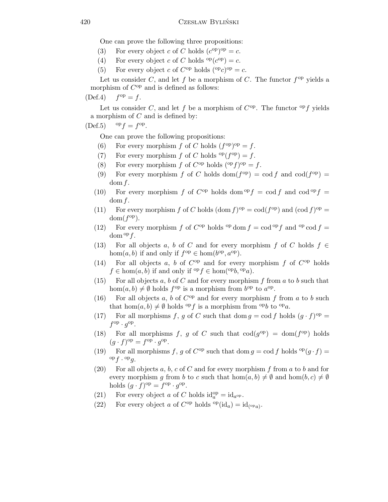One can prove the following three propositions:

- (3) For every object c of C holds  $(c^{op})^{op} = c$ .
- (4) For every object c of C holds  ${}^{op}(c^{op}) = c$ .
- (5) For every object c of  $C^{op}$  holds  $({}^{op}c)^{op} = c$ .

Let us consider C, and let f be a morphism of C. The functor  $f^{\rm op}$  yields a morphism of  $C^{op}$  and is defined as follows:

 $(Def.4)$  $f^{\rm op} = f$ .

Let us consider C, and let f be a morphism of  $C^{op}$ . The functor  $^{op}f$  yields a morphism of  $C$  and is defined by:

 $(\text{Def.5}) \qquad \text{op} f = f^{\text{op}}.$ 

One can prove the following propositions:

- (6) For every morphism f of C holds  $(f^{op})^{op} = f$ .
- (7) For every morphism  $f$  of  $C$  holds  $\mathop{\mathrm{op}}\nolimits(f^{\rm op}) = f$ .
- (8) For every morphism f of  $C^{op}$  holds  $({}^{op}f)^{op} = f$ .
- (9) For every morphism f of C holds  $dom(f^{op}) = cod f$  and  $cod(f^{op}) =$  $dom f.$
- (10) For every morphism f of  $C^{op}$  holds dom  $^{op}f = \text{cod }f$  and  $\text{cod }^{op}f =$  $dom f.$
- (11) For every morphism f of C holds  $(\text{dom } f)^{\text{op}} = \text{cod}(f^{\text{op}})$  and  $(\text{cod } f)^{\text{op}} =$  $dom(f^{op})$ .
- (12) For every morphism f of  $C^{op}$  holds <sup>op</sup> dom  $f = \text{cod }^{op} f$  and <sup>op</sup> cod  $f =$  $\text{dom}^{\text{op}} f$ .
- (13) For all objects a, b of C and for every morphism f of C holds  $f \in$ hom $(a, b)$  if and only if  $f^{\text{op}} \in \text{hom}(b^{\text{op}}, a^{\text{op}})$ .
- (14) For all objects a, b of  $C^{op}$  and for every morphism f of  $C^{op}$  holds  $f \in \text{hom}(a, b)$  if and only if <sup>op</sup> $f \in \text{hom}({}^{\text{op}} b, {}^{\text{op}} a)$ .
- (15) For all objects a, b of C and for every morphism f from a to b such that hom $(a, b) \neq \emptyset$  holds  $f^{\rm op}$  is a morphism from  $b^{\rm op}$  to  $a^{\rm op}$ .
- (16) For all objects a, b of  $C^{op}$  and for every morphism f from a to b such that  $hom(a, b) \neq \emptyset$  holds <sup>op</sup>f is a morphism from <sup>op</sup>b to <sup>op</sup>a.
- (17) For all morphisms f, g of C such that dom  $g = \text{cod } f$  holds  $(g \cdot f)^{\text{op}} =$  $f^{\text{op}} \cdot g^{\text{op}}.$
- (18) For all morphisms f, g of C such that  $\text{cod}(g^{\text{op}}) = \text{dom}(f^{\text{op}})$  holds  $(g \cdot f)$ <sup>op</sup> =  $f$ <sup>op</sup> ·  $g$ <sup>op</sup>.
- (19) For all morphisms f, g of  $C^{op}$  such that dom  $g = \text{cod } f$  holds  $^{op}(g \cdot f) =$  ${}^{\mathrm{op}} f \cdot {}^{\mathrm{op}} g.$
- (20) For all objects a, b, c of C and for every morphism f from a to b and for every morphism g from b to c such that  $hom(a, b) \neq \emptyset$  and  $hom(b, c) \neq \emptyset$ holds  $(g \cdot f)^\text{op} = f^\text{op} \cdot g^\text{op}.$
- (21) For every object a of C holds  $\mathrm{id}_{a}^{\mathrm{op}} = \mathrm{id}_{a^{\mathrm{op}}}$ .
- (22) For every object a of  $C^{op}$  holds  ${}^{op}(\text{id}_a) = \text{id}_{({}^{op}a)}$ .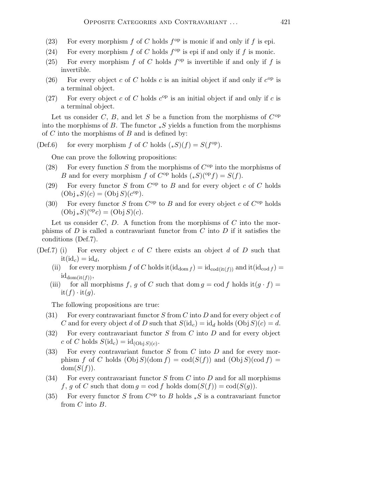- (23) For every morphism  $f$  of  $C$  holds  $f^{\rm op}$  is monic if and only if  $f$  is epi.
- (24) For every morphism  $f$  of  $C$  holds  $f^{\rm op}$  is epi if and only if  $f$  is monic.
- (25) For every morphism  $f$  of  $C$  holds  $f^{\rm op}$  is invertible if and only if  $f$  is invertible.
- (26) For every object c of C holds c is an initial object if and only if  $c^{op}$  is a terminal object.
- (27) For every object c of C holds  $c^{op}$  is an initial object if and only if c is a terminal object.

Let us consider C, B, and let S be a function from the morphisms of  $C^{op}$ into the morphisms of B. The functor  $*S$  yields a function from the morphisms of  $C$  into the morphisms of  $B$  and is defined by:

(Def.6) for every morphism f of C holds  $(*S)(f) = S(f^{op})$ .

One can prove the following propositions:

- (28) For every function S from the morphisms of  $C^{op}$  into the morphisms of B and for every morphism f of  $C^{op}$  holds  $(*S)(^{op} f) = S(f)$ .
- (29) For every functor  $S$  from  $C^{op}$  to  $B$  and for every object  $c$  of  $C$  holds  $(\text{Obj}\, *S)(c) = (\text{Obj}\, S)(c^{\text{op}}).$
- (30) For every functor S from  $C^{op}$  to B and for every object c of  $C^{op}$  holds  $(Obj_*S)(^{op}c) = (Obj S)(c).$

Let us consider  $C, D$ . A function from the morphisms of  $C$  into the morphisms of  $D$  is called a contravariant functor from  $C$  into  $D$  if it satisfies the conditions (Def.7).

- (Def.7) (i) For every object c of C there exists an object d of D such that  $it(id<sub>c</sub>) = id<sub>d</sub>$ 
	- (ii) for every morphism f of C holds it  $(id_{dom f}) = id_{cod(it(f))}$  and it  $(id_{cod f}) =$  $id_{dom(it(f))},$
	- (iii) for all morphisms f, g of C such that dom  $g = \text{cod } f$  holds it $(g \cdot f) =$  $it(f) \cdot it(g).$

The following propositions are true:

- (31) For every contravariant functor S from C into D and for every object c of C and for every object d of D such that  $S(\mathrm{id}_c) = \mathrm{id}_d$  holds  $(Obj S)(c) = d$ .
- $(32)$  For every contravariant functor S from C into D and for every object c of C holds  $S(\mathrm{id}_c) = \mathrm{id}_{(\mathrm{Obj}\,S)(c)}$ .
- $(33)$  For every contravariant functor S from C into D and for every morphism f of C holds  $(Obj S)(dom f) = cod(S(f))$  and  $(Obj S)(cod f) =$  $dom(S(f)).$
- (34) For every contravariant functor  $S$  from  $C$  into  $D$  and for all morphisms f, g of C such that dom  $g = \text{cod } f$  holds  $\text{dom}(S(f)) = \text{cod}(S(g))$ .
- (35) For every functor S from  $C^{op}$  to B holds  $*S$  is a contravariant functor from  $C$  into  $B$ .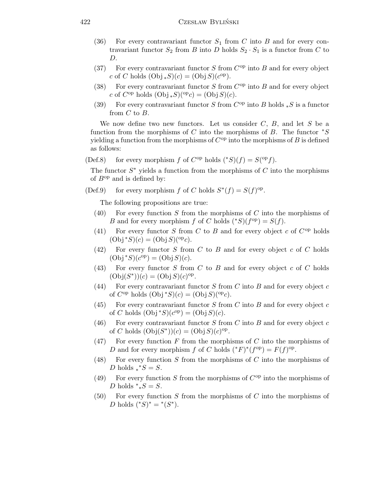- (36) For every contravariant functor  $S_1$  from C into B and for every contravariant functor  $S_2$  from B into D holds  $S_2 \cdot S_1$  is a functor from C to D.
- (37) For every contravariant functor  $S$  from  $C^{op}$  into  $B$  and for every object c of C holds  $(\text{Obj}\, *S)(c) = (\text{Obj}\, S)(c^{\text{op}}).$
- (38) For every contravariant functor  $S$  from  $C^{op}$  into  $B$  and for every object c of  $C^{op}$  holds  $(Obj_*S)(^{op}c) = (Obj S)(c)$ .
- (39) For every contravariant functor S from  $C^{op}$  into B holds \*S is a functor from  $C$  to  $B$ .

We now define two new functors. Let us consider  $C, B$ , and let S be a function from the morphisms of C into the morphisms of B. The functor  $*S$ yielding a function from the morphisms of  $C^{op}$  into the morphisms of B is defined as follows:

(Def.8) for every morphism f of  $C^{op}$  holds  $({}^*S)(f) = S({}^{op}f)$ .

The functor  $S^*$  yields a function from the morphisms of  $C$  into the morphisms of  $B^{op}$  and is defined by:

(Def.9) for every morphism f of C holds  $S^*(f) = S(f)^\text{op}$ .

The following propositions are true:

- $(40)$  For every function S from the morphisms of C into the morphisms of B and for every morphism f of C holds  $(*S)(f^{\rm op}) = S(f)$ .
- (41) For every functor S from C to B and for every object c of  $C^{op}$  holds  $(\text{Obj} * S)(c) = (\text{Obj} S)(^{\text{op}} c).$
- $(42)$  For every functor S from C to B and for every object c of C holds  $(\text{Obj} * S)(\check{c}^{\text{op}}) = (\text{Obj} S)(c).$
- $(43)$  For every functor S from C to B and for every object c of C holds  $(Obj(S^*))^{\check{c}}(c) = (Obj S)(c)^{op}.$
- (44) For every contravariant functor  $S$  from  $C$  into  $B$  and for every object  $c$ of  $C^{op}$  holds  $(Obj * S)(c) = (Obj S)(^{op}c)$ .
- (45) For every contravariant functor  $S$  from  $C$  into  $B$  and for every object  $c$ of C holds  $(\text{Obj}^*S)(c^{\text{op}}) = (\text{Obj} S)(c)$ .
- (46) For every contravariant functor S from C into B and for every object c of C holds  $(Obj(S^*))(c) = (Obj S)(c)^{op}$ .
- $(47)$  For every function F from the morphisms of C into the morphisms of D and for every morphism f of C holds  $({}^*F)^* (f^{\text{op}}) = F(f)^{\text{op}}$ .
- (48) For every function S from the morphisms of C into the morphisms of D holds  $\check{*}S = S$ .
- (49) For every function S from the morphisms of  $C^{op}$  into the morphisms of D holds  $\check{*}_\ast S = S$ .
- $(50)$  For every function S from the morphisms of C into the morphisms of *D* holds  $({}^*S)^* = {}^*(S^*)$ .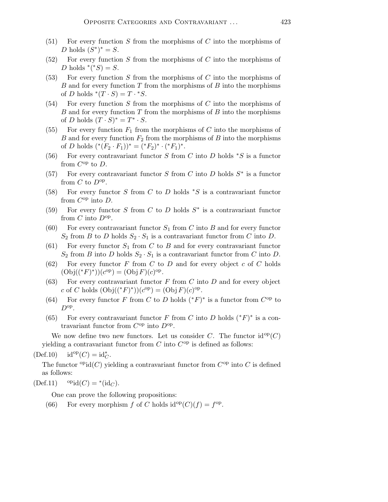- $(51)$  For every function S from the morphisms of C into the morphisms of D holds  $(S^*)^* = S$ .
- $(52)$  For every function S from the morphisms of C into the morphisms of D holds  $*(^*S) = S$ .
- $(53)$  For every function S from the morphisms of C into the morphisms of B and for every function  $T$  from the morphisms of  $B$  into the morphisms of D holds  $^*(\stackrel{\circ}{T} \cdot S) = T \cdot^* S$ .
- $(54)$  For every function S from the morphisms of C into the morphisms of B and for every function  $T$  from the morphisms of  $B$  into the morphisms of D holds  $(T \cdot S)^* = T^* \cdot S$ .
- (55) For every function  $F_1$  from the morphisms of C into the morphisms of  $B$  and for every function  $F_2$  from the morphisms of  $B$  into the morphisms of D holds  $({}^*(F_2 \cdot F_1))^* = ({}^*F_2)^* \cdot ({}^*F_1)^*.$
- (56) For every contravariant functor S from C into D holds  $*S$  is a functor from  $C^{op}$  to  $D$ .
- (57) For every contravariant functor S from C into D holds  $S^*$  is a functor from  $C$  to  $D^{\text{op}}$ .
- (58) For every functor S from C to D holds  $*S$  is a contravariant functor from  $C^{op}$  into  $D$ .
- (59) For every functor S from C to D holds  $S^*$  is a contravariant functor from C into  $D^{\text{op}}$ .
- (60) For every contravariant functor  $S_1$  from C into B and for every functor  $S_2$  from B to D holds  $S_2 \cdot S_1$  is a contravariant functor from C into D.
- (61) For every functor  $S_1$  from C to B and for every contravariant functor  $S_2$  from B into D holds  $S_2 \cdot S_1$  is a contravariant functor from C into D.
- $(62)$  For every functor F from C to D and for every object c of C holds  $(Obj((*F)^{*}))(c^{op}) = (Obj F)(c)^{op}.$
- (63) For every contravariant functor  $F$  from  $C$  into  $D$  and for every object c of C holds  $(\text{Obj}((^*F)^*)) (c^{\text{op}}) = (\text{Obj} F) (c)^{\text{op}}.$
- (64) For every functor F from C to D holds  $({}^*F)^*$  is a functor from  $C^{op}$  to  $D^{\rm op}$ .
- (65) For every contravariant functor F from C into D holds  $(*F)^*$  is a contravariant functor from  $C^{op}$  into  $D^{op}$ .

We now define two new functors. Let us consider C. The functor  $id^{op}(C)$ yielding a contravariant functor from  $C$  into  $C^{op}$  is defined as follows:

 $(\text{Def.10}) \quad \text{id}^{\text{op}}(C) = \text{id}^*_{C}.$ 

The functor  $\mathrm{^{op}id}(C)$  yielding a contravariant functor from  $C^{\mathrm{op}}$  into C is defined as follows:

 $(\text{Def}.11)$  opid $(C)$  = \*(id<sub>C</sub>).

One can prove the following propositions:

(66) For every morphism f of C holds  $id^{op}(C)(f) = f^{op}$ .